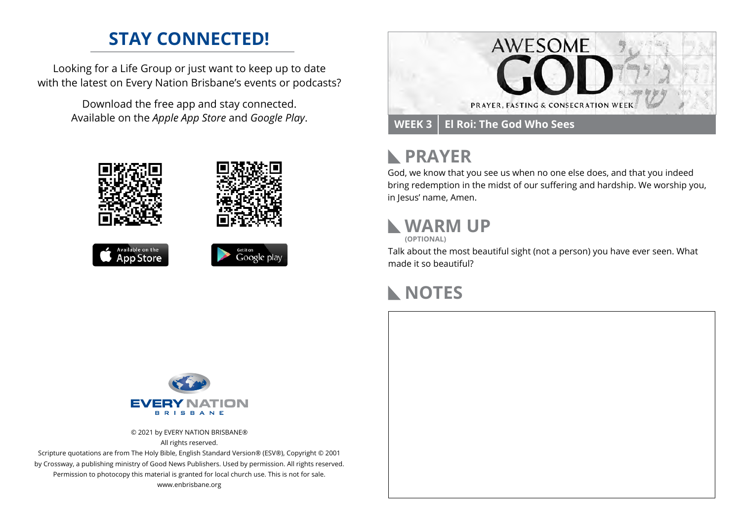## **STAY CONNECTED!**

Looking for a Life Group or just want to keep up to date with the latest on Every Nation Brisbane's events or podcasts?

> Download the free app and stay connected. Available on the *Apple App Store* and *Google Play*.











#### **PRAYER**  $\mathbb{R}$

God, we know that you see us when no one else does, and that you indeed bring redemption in the midst of our suffering and hardship. We worship you, in Jesus' name, Amen.

## **WARM UP**

**(OPTIONAL)**

Talk about the most beautiful sight (not a person) you have ever seen. What made it so beautiful?

#### **NOTES**



© 2021 by EVERY NATION BRISBANE® All rights reserved.

Scripture quotations are from The Holy Bible, English Standard Version® (ESV®), Copyright © 2001 by Crossway, a publishing ministry of Good News Publishers. Used by permission. All rights reserved. Permission to photocopy this material is granted for local church use. This is not for sale. www.enbrisbane.org